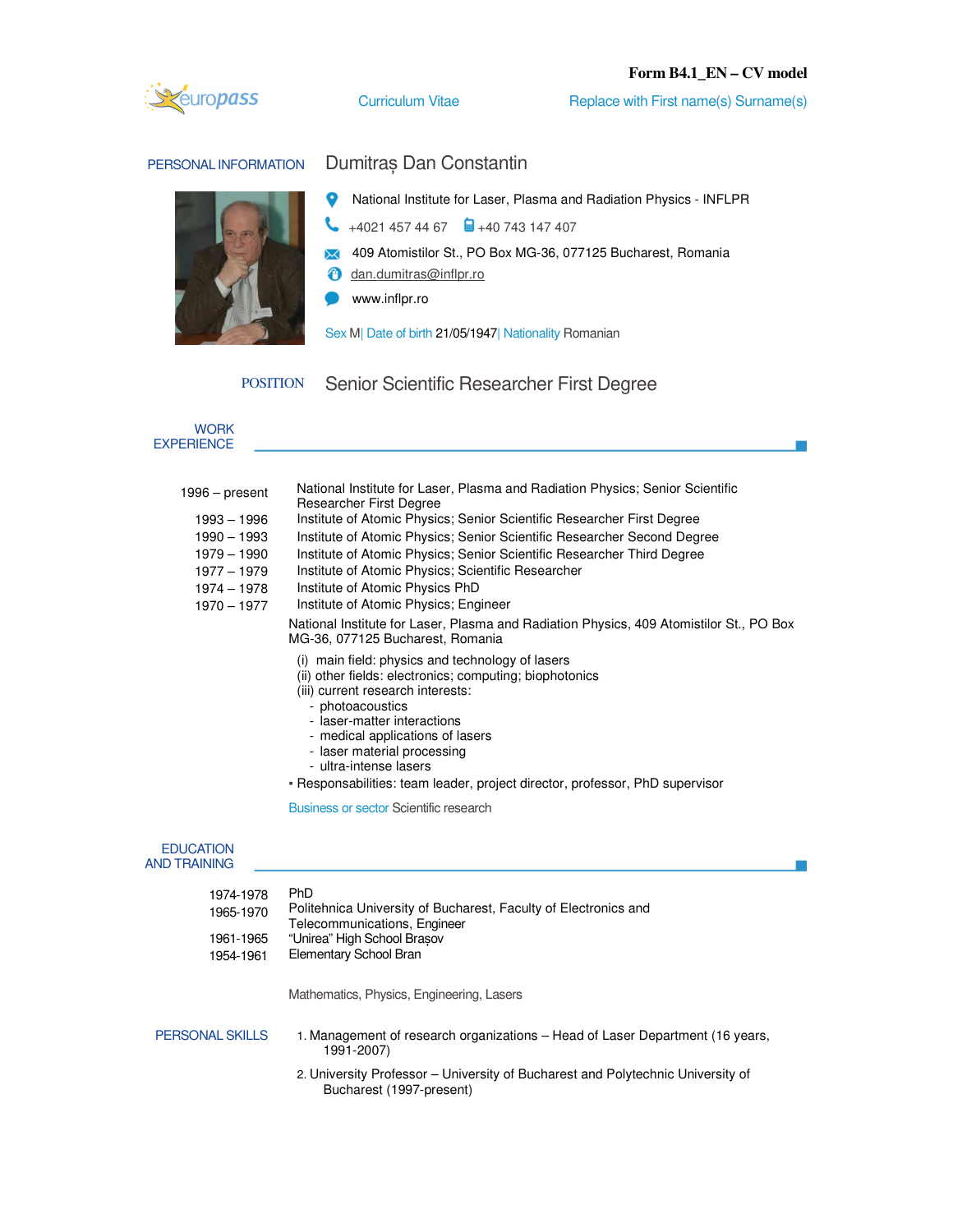## **Form B4.1\_EN – CV model**



Curriculum Vitae Replace with First name(s) Surname(s)

# PERSONAL INFORMATION Dumitraș Dan Constantin



O National Institute for Laser, Plasma and Radiation Physics - INFLPR

- $+4021$  457 44 67  $\qquad \qquad \Box +40$  743 147 407
- 409 Atomistilor St., PO Box MG-36, 077125 Bucharest, Romania
- *<u>A* dan.dumitras@inflpr.ro</u>
- www.inflpr.ro

Sex M| Date of birth 21/05/1947| Nationality Romanian

POSITION Senior Scientific Researcher First Degree

| <b>WORK</b><br><b>EXPERIENCE</b>                                                                             |                                                                                                                                                                                                                                                                                                                                                                                                                                                                                                                                                                                                                                                                                                                                                                                                                                                                                                                                                                                                                                               |
|--------------------------------------------------------------------------------------------------------------|-----------------------------------------------------------------------------------------------------------------------------------------------------------------------------------------------------------------------------------------------------------------------------------------------------------------------------------------------------------------------------------------------------------------------------------------------------------------------------------------------------------------------------------------------------------------------------------------------------------------------------------------------------------------------------------------------------------------------------------------------------------------------------------------------------------------------------------------------------------------------------------------------------------------------------------------------------------------------------------------------------------------------------------------------|
| 1996 – present<br>1993 - 1996<br>1990 - 1993<br>1979 - 1990<br>$1977 - 1979$<br>1974 - 1978<br>$1970 - 1977$ | National Institute for Laser, Plasma and Radiation Physics; Senior Scientific<br><b>Researcher First Degree</b><br>Institute of Atomic Physics; Senior Scientific Researcher First Degree<br>Institute of Atomic Physics; Senior Scientific Researcher Second Degree<br>Institute of Atomic Physics; Senior Scientific Researcher Third Degree<br>Institute of Atomic Physics; Scientific Researcher<br>Institute of Atomic Physics PhD<br>Institute of Atomic Physics; Engineer<br>National Institute for Laser, Plasma and Radiation Physics, 409 Atomistilor St., PO Box<br>MG-36, 077125 Bucharest, Romania<br>(i) main field: physics and technology of lasers<br>(ii) other fields: electronics; computing; biophotonics<br>(iii) current research interests:<br>- photoacoustics<br>- laser-matter interactions<br>- medical applications of lasers<br>- laser material processing<br>- ultra-intense lasers<br>- Responsabilities: team leader, project director, professor, PhD supervisor<br>Business or sector Scientific research |
| <b>EDUCATION</b><br><b>AND TRAINING</b>                                                                      |                                                                                                                                                                                                                                                                                                                                                                                                                                                                                                                                                                                                                                                                                                                                                                                                                                                                                                                                                                                                                                               |
| 1974-1978<br>$100E$ $1070$                                                                                   | PhD<br>Politebnica University of Bucharest, Faculty of Flectronics and                                                                                                                                                                                                                                                                                                                                                                                                                                                                                                                                                                                                                                                                                                                                                                                                                                                                                                                                                                        |

| 1965-1970<br>1961-1965<br>1954-1961 | Politehnica University of Bucharest, Faculty of Electronics and<br>Telecommunications, Engineer<br>"Unirea" High School Brasov<br>Elementary School Bran |
|-------------------------------------|----------------------------------------------------------------------------------------------------------------------------------------------------------|
|                                     | Mathematics, Physics, Engineering, Lasers                                                                                                                |
| PERSONAL SKILLS                     | 1. Management of research organizations – Head of Laser Department (16 years,                                                                            |

1991-2007)

2. University Professor – University of Bucharest and Polytechnic University of Bucharest (1997-present)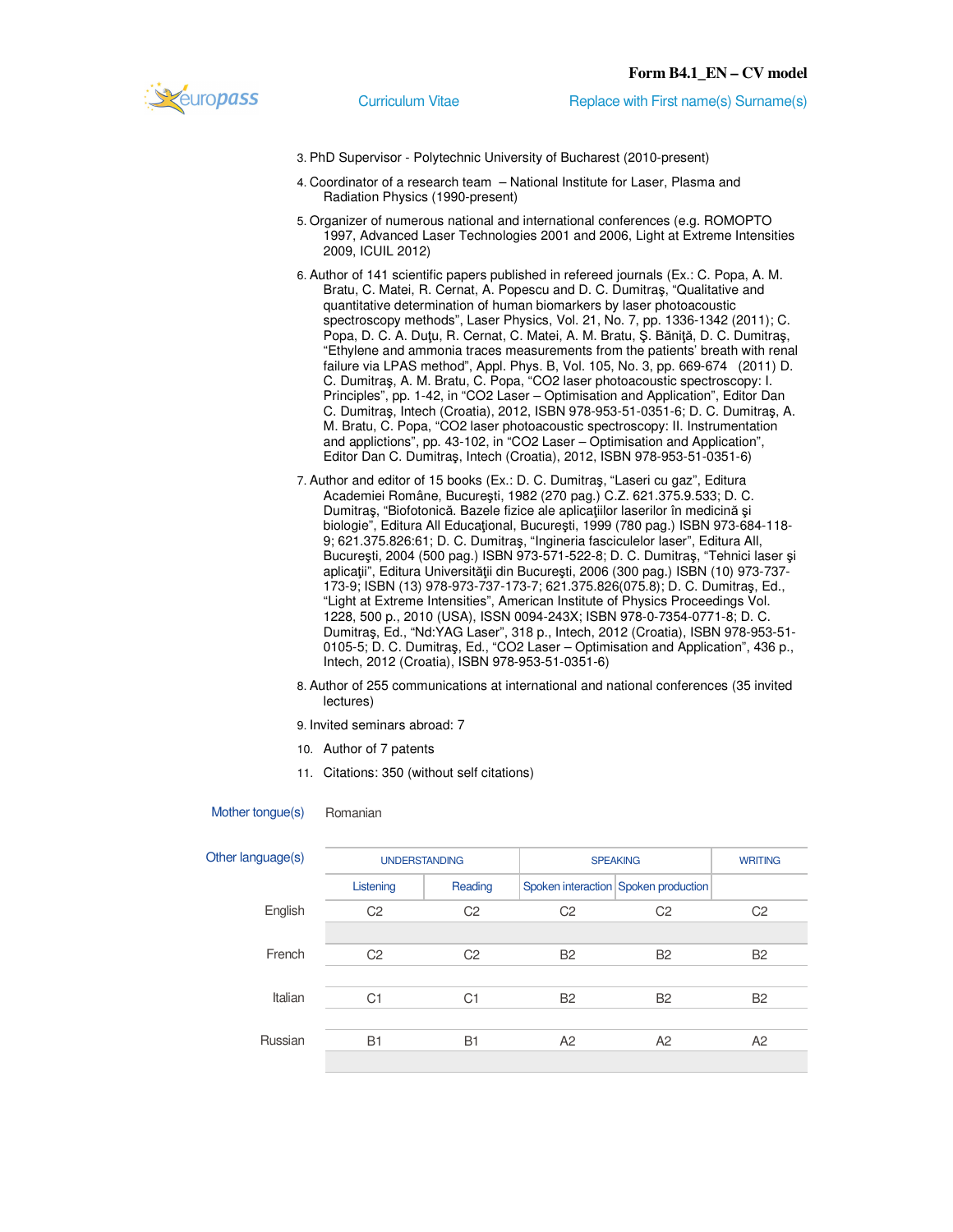

- 3. PhD Supervisor Polytechnic University of Bucharest (2010-present)
- 4. Coordinator of a research team National Institute for Laser, Plasma and Radiation Physics (1990-present)
- 5. Organizer of numerous national and international conferences (e.g. ROMOPTO 1997, Advanced Laser Technologies 2001 and 2006, Light at Extreme Intensities 2009, ICUIL 2012)
- 6. Author of 141 scientific papers published in refereed journals (Ex.: C. Popa, A. M. Bratu, C. Matei, R. Cernat, A. Popescu and D. C. Dumitraş, "Qualitative and quantitative determination of human biomarkers by laser photoacoustic spectroscopy methods", Laser Physics, Vol. 21, No. 7, pp. 1336-1342 (2011); C. Popa, D. C. A. Duţu, R. Cernat, C. Matei, A. M. Bratu, Ş. Băniţă, D. C. Dumitraş, "Ethylene and ammonia traces measurements from the patients' breath with renal failure via LPAS method", Appl. Phys. B, Vol. 105, No. 3, pp. 669-674 (2011) D. C. Dumitraş, A. M. Bratu, C. Popa, "CO2 laser photoacoustic spectroscopy: I. Principles", pp. 1-42, in "CO2 Laser – Optimisation and Application", Editor Dan C. Dumitraş, Intech (Croatia), 2012, ISBN 978-953-51-0351-6; D. C. Dumitraş, A. M. Bratu, C. Popa, "CO2 laser photoacoustic spectroscopy: II. Instrumentation and applictions", pp. 43-102, in "CO2 Laser – Optimisation and Application", Editor Dan C. Dumitraş, Intech (Croatia), 2012, ISBN 978-953-51-0351-6)
- 7. Author and editor of 15 books (Ex.: D. C. Dumitraş, "Laseri cu gaz", Editura Academiei Române, Bucureşti, 1982 (270 pag.) C.Z. 621.375.9.533; D. C. Dumitraş, "Biofotonică. Bazele fizice ale aplicaţiilor laserilor în medicină şi biologie", Editura All Educaţional, Bucureşti, 1999 (780 pag.) ISBN 973-684-118- 9; 621.375.826:61; D. C. Dumitraş, "Ingineria fasciculelor laser", Editura All, Bucureşti, 2004 (500 pag.) ISBN 973-571-522-8; D. C. Dumitraş, "Tehnici laser şi aplicaţii", Editura Universităţii din Bucureşti, 2006 (300 pag.) ISBN (10) 973-737- 173-9; ISBN (13) 978-973-737-173-7; 621.375.826(075.8); D. C. Dumitraş, Ed., "Light at Extreme Intensities", American Institute of Physics Proceedings Vol. 1228, 500 p., 2010 (USA), ISSN 0094-243X; ISBN 978-0-7354-0771-8; D. C. Dumitraş, Ed., "Nd:YAG Laser", 318 p., Intech, 2012 (Croatia), ISBN 978-953-51- 0105-5; D. C. Dumitraş, Ed., "CO2 Laser – Optimisation and Application", 436 p., Intech, 2012 (Croatia), ISBN 978-953-51-0351-6)
- 8. Author of 255 communications at international and national conferences (35 invited lectures)

9. Invited seminars abroad: 7

- 10. Author of 7 patents
- 11. Citations: 350 (without self citations)

| Other language(s) |                | <b>UNDERSTANDING</b> |                | <b>SPEAKING</b>                      |                |
|-------------------|----------------|----------------------|----------------|--------------------------------------|----------------|
|                   | Listening      | Reading              |                | Spoken interaction Spoken production |                |
| English           | C <sub>2</sub> | C <sub>2</sub>       | C <sub>2</sub> | C <sub>2</sub>                       | C <sub>2</sub> |
|                   |                |                      |                |                                      |                |
| French            | C <sub>2</sub> | C <sub>2</sub>       | <b>B2</b>      | <b>B2</b>                            | <b>B2</b>      |
|                   |                |                      |                |                                      |                |
| Italian           | C <sub>1</sub> | C <sub>1</sub>       | <b>B2</b>      | <b>B2</b>                            | <b>B2</b>      |
|                   |                |                      |                |                                      |                |
| Russian           | <b>B1</b>      | <b>B1</b>            | A2             | A2                                   | A2             |
|                   |                |                      |                |                                      |                |

### Mother tongue(s) Romanian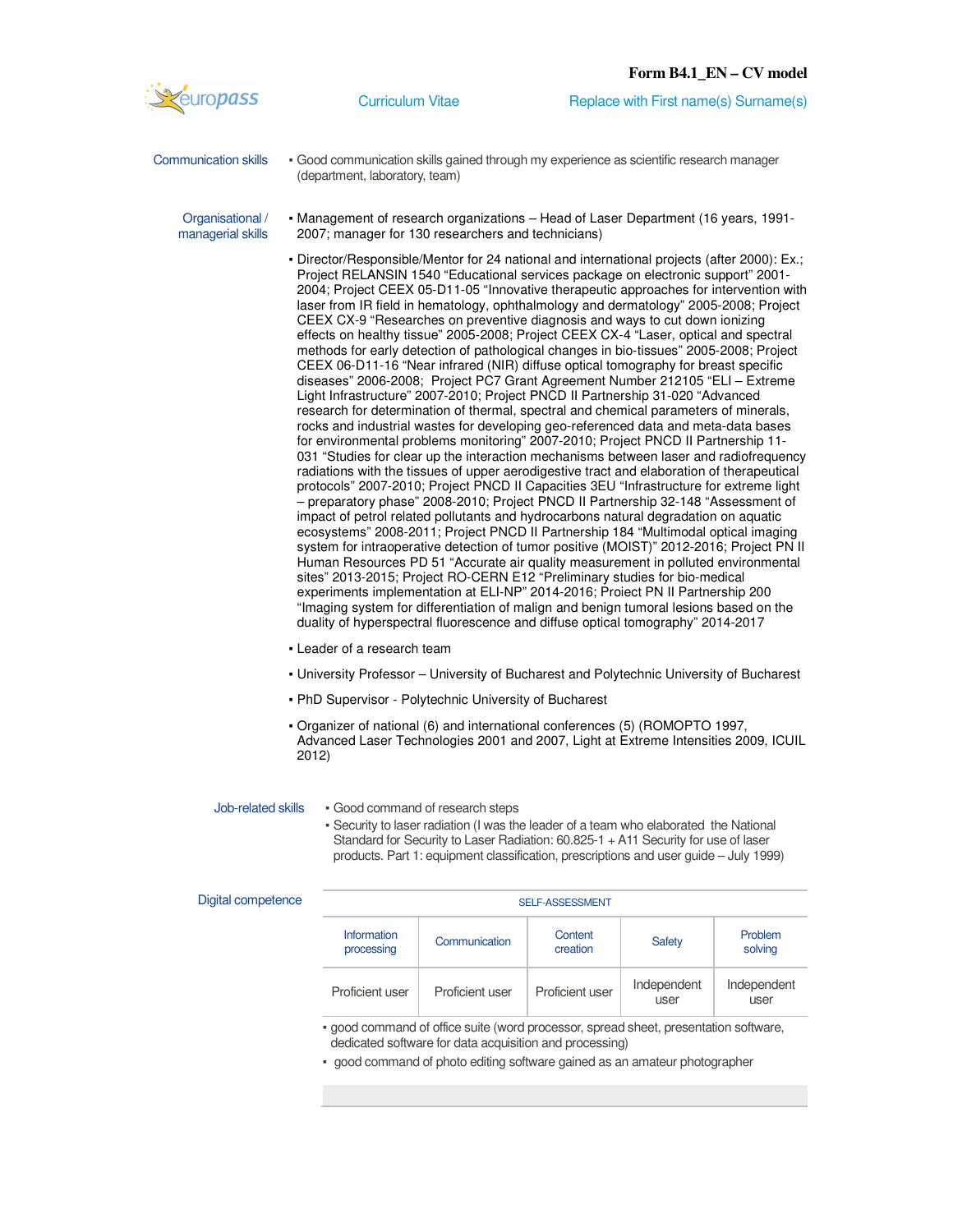

Communication skills • Good communication skills gained through my experience as scientific research manager (department, laboratory, team)

Organisational / managerial skills

- Management of research organizations Head of Laser Department (16 years, 1991- 2007; manager for 130 researchers and technicians)
- Director/Responsible/Mentor for 24 national and international projects (after 2000): Ex.; Project RELANSIN 1540 "Educational services package on electronic support" 2001- 2004; Project CEEX 05-D11-05 "Innovative therapeutic approaches for intervention with laser from IR field in hematology, ophthalmology and dermatology" 2005-2008; Project CEEX CX-9 "Researches on preventive diagnosis and ways to cut down ionizing effects on healthy tissue" 2005-2008; Project CEEX CX-4 "Laser, optical and spectral methods for early detection of pathological changes in bio-tissues" 2005-2008; Project CEEX 06-D11-16 "Near infrared (NIR) diffuse optical tomography for breast specific diseases" 2006-2008; Project PC7 Grant Agreement Number 212105 "ELI – Extreme Light Infrastructure" 2007-2010; Project PNCD II Partnership 31-020 "Advanced research for determination of thermal, spectral and chemical parameters of minerals, rocks and industrial wastes for developing geo-referenced data and meta-data bases for environmental problems monitoring" 2007-2010; Project PNCD II Partnership 11- 031 "Studies for clear up the interaction mechanisms between laser and radiofrequency radiations with the tissues of upper aerodigestive tract and elaboration of therapeutical protocols" 2007-2010; Project PNCD II Capacities 3EU "Infrastructure for extreme light – preparatory phase" 2008-2010; Project PNCD II Partnership 32-148 "Assessment of impact of petrol related pollutants and hydrocarbons natural degradation on aquatic ecosystems" 2008-2011; Project PNCD II Partnership 184 "Multimodal optical imaging system for intraoperative detection of tumor positive (MOIST)" 2012-2016; Project PN II Human Resources PD 51 "Accurate air quality measurement in polluted environmental sites" 2013-2015; Project RO-CERN E12 "Preliminary studies for bio-medical experiments implementation at ELI-NP" 2014-2016; Proiect PN II Partnership 200 "Imaging system for differentiation of malign and benign tumoral lesions based on the duality of hyperspectral fluorescence and diffuse optical tomography" 2014-2017
- **Leader of a research team**
- University Professor University of Bucharest and Polytechnic University of Bucharest
- PhD Supervisor Polytechnic University of Bucharest
- Organizer of national (6) and international conferences (5) (ROMOPTO 1997, Advanced Laser Technologies 2001 and 2007, Light at Extreme Intensities 2009, ICUIL 2012)

- Job-related skills Good command of research steps
	- Security to laser radiation (I was the leader of a team who elaborated the National Standard for Security to Laser Radiation: 60.825-1 + A11 Security for use of laser products. Part 1: equipment classification, prescriptions and user guide – July 1999)

| Digital competence |                                  |                                                                                     | <b>SELF-ASSESSMENT</b> |                     |                     |
|--------------------|----------------------------------|-------------------------------------------------------------------------------------|------------------------|---------------------|---------------------|
|                    | <b>Information</b><br>processing | Communication                                                                       | Content<br>creation    | <b>Safety</b>       | Problem<br>solving  |
|                    | Proficient user                  | Proficient user                                                                     | Proficient user        | Independent<br>user | Independent<br>user |
|                    |                                  | . good command of office suite (word processor, spread sheet, presentation software |                        |                     |                     |

**SUITE (word processor, spread sheet, presentation software,** dedicated software for data acquisition and processing)

good command of photo editing software gained as an amateur photographer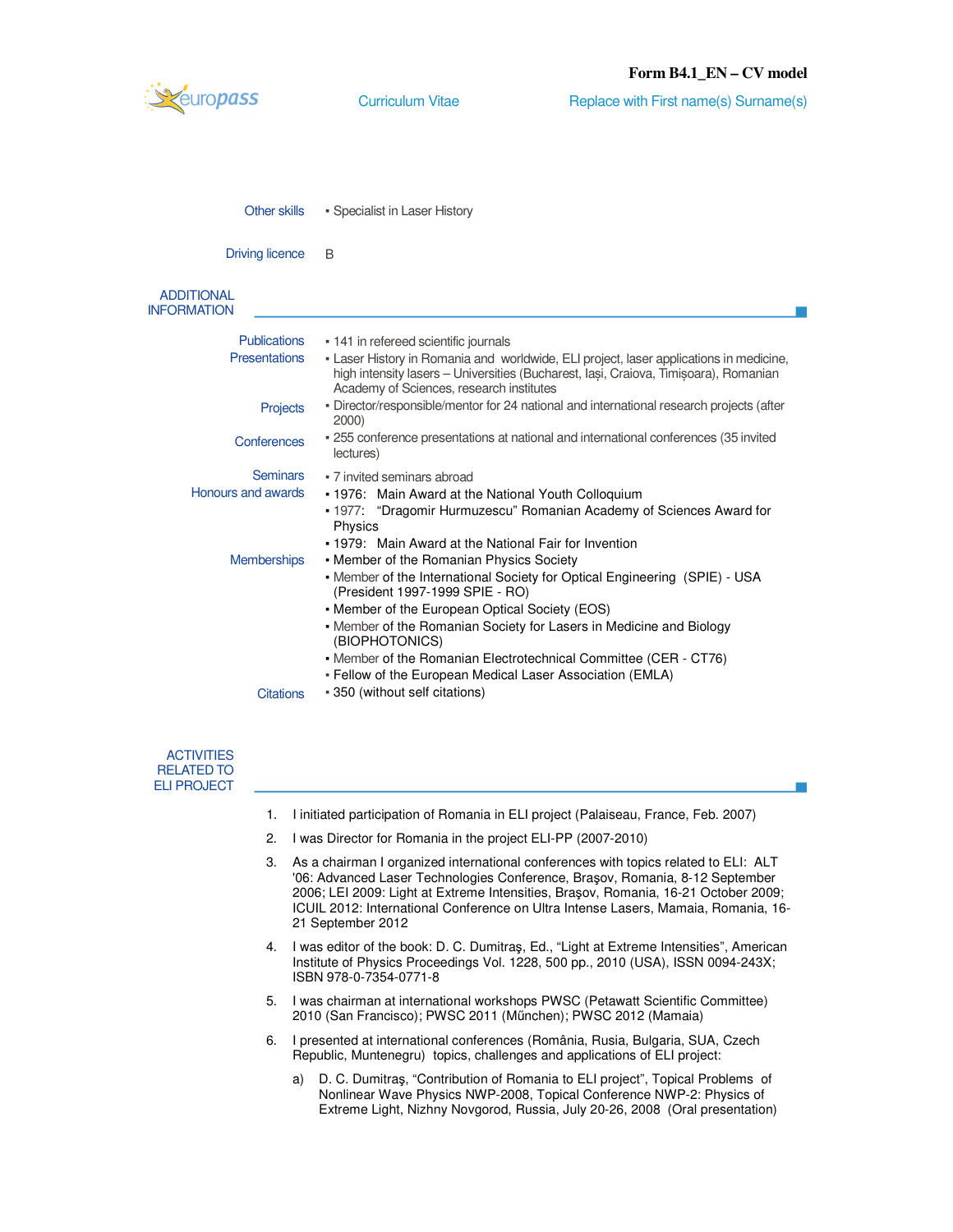

| Other skills | • Specialist in Laser History |
|--------------|-------------------------------|
|--------------|-------------------------------|

Driving licence B

```
ADDITIONAL 
INFORMATION
```

| uvioli IVI v         |                                                                                                                                                                                                                            |
|----------------------|----------------------------------------------------------------------------------------------------------------------------------------------------------------------------------------------------------------------------|
| Publications         | • 141 in refereed scientific journals                                                                                                                                                                                      |
| <b>Presentations</b> | - Laser History in Romania and worldwide, ELI project, laser applications in medicine,<br>high intensity lasers – Universities (Bucharest, Iasi, Craiova, Timisoara), Romanian<br>Academy of Sciences, research institutes |
| Projects             | - Director/responsible/mentor for 24 national and international research projects (after<br>2000)                                                                                                                          |
| Conferences          | - 255 conference presentations at national and international conferences (35 invited<br>lectures)                                                                                                                          |
| <b>Seminars</b>      | • 7 invited seminars abroad                                                                                                                                                                                                |
| Honours and awards   | . 1976: Main Award at the National Youth Colloquium                                                                                                                                                                        |
|                      | • 1977: "Dragomir Hurmuzescu" Romanian Academy of Sciences Award for<br>Physics                                                                                                                                            |
|                      | • 1979: Main Award at the National Fair for Invention                                                                                                                                                                      |
| <b>Memberships</b>   | • Member of the Romanian Physics Society                                                                                                                                                                                   |
|                      | - Member of the International Society for Optical Engineering (SPIE) - USA<br>(President 1997-1999 SPIE - RO)                                                                                                              |
|                      | • Member of the European Optical Society (EOS)                                                                                                                                                                             |
|                      | • Member of the Romanian Society for Lasers in Medicine and Biology<br>(BIOPHOTONICS)                                                                                                                                      |
|                      | • Member of the Romanian Electrotechnical Committee (CER - CT76)<br>- Fellow of the European Medical Laser Association (EMLA)                                                                                              |
| <b>Citations</b>     | - 350 (without self citations)                                                                                                                                                                                             |
|                      |                                                                                                                                                                                                                            |

| <b>ACTIVITIES</b> |
|-------------------|
| BELATED TO        |
| ELI PROJECT       |

- 1. I initiated participation of Romania in ELI project (Palaiseau, France, Feb. 2007)
- 2. I was Director for Romania in the project ELI-PP (2007-2010)
- 3. As a chairman I organized international conferences with topics related to ELI: ALT '06: Advanced Laser Technologies Conference, Braşov, Romania, 8-12 September 2006; LEI 2009: Light at Extreme Intensities, Braşov, Romania, 16-21 October 2009; ICUIL 2012: International Conference on Ultra Intense Lasers, Mamaia, Romania, 16- 21 September 2012
- 4. I was editor of the book: D. C. Dumitraş, Ed., "Light at Extreme Intensities", American Institute of Physics Proceedings Vol. 1228, 500 pp., 2010 (USA), ISSN 0094-243X; ISBN 978-0-7354-0771-8
- 5. I was chairman at international workshops PWSC (Petawatt Scientific Committee) 2010 (San Francisco); PWSC 2011 (Műnchen); PWSC 2012 (Mamaia)
- 6. I presented at international conferences (România, Rusia, Bulgaria, SUA, Czech Republic, Muntenegru) topics, challenges and applications of ELI project:
	- a) D. C. Dumitraş, "Contribution of Romania to ELI project", Topical Problems of Nonlinear Wave Physics NWP-2008, Topical Conference NWP-2: Physics of Extreme Light, Nizhny Novgorod, Russia, July 20-26, 2008 (Oral presentation)